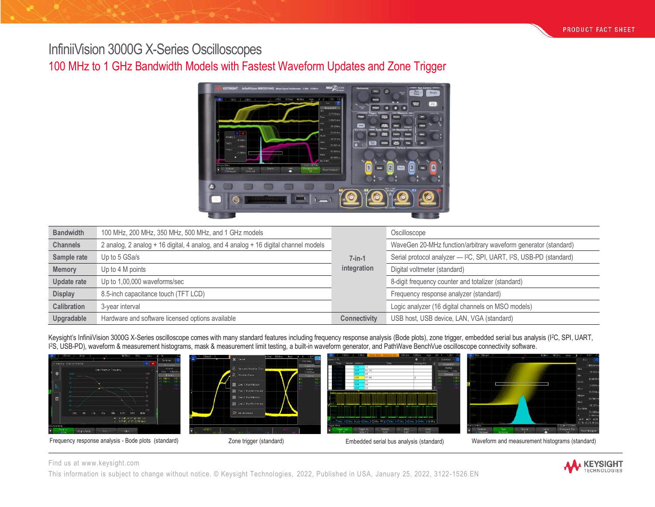# InfiniiVision 3000G X-Series Oscilloscopes

# 100 MHz to 1 GHz Bandwidth Models with Fastest Waveform Updates and Zone Trigger



| <b>Bandwidth</b>   | 100 MHz, 200 MHz, 350 MHz, 500 MHz, and 1 GHz models                                |                     | Oscilloscope                                                                                |
|--------------------|-------------------------------------------------------------------------------------|---------------------|---------------------------------------------------------------------------------------------|
| <b>Channels</b>    | 2 analog, 2 analog + 16 digital, 4 analog, and 4 analog + 16 digital channel models |                     | WaveGen 20-MHz function/arbitrary waveform generator (standard)                             |
| Sample rate        | Up to 5 GSa/s                                                                       | $7$ -in-1           | Serial protocol analyzer - I <sup>2</sup> C, SPI, UART, I <sup>2</sup> S, USB-PD (standard) |
| <b>Memory</b>      | Up to 4 M points                                                                    | integration         | Digital voltmeter (standard)                                                                |
| Update rate        | Up to 1,00,000 waveforms/sec                                                        |                     | 8-digit frequency counter and totalizer (standard)                                          |
| <b>Display</b>     | 8.5-inch capacitance touch (TFT LCD)                                                |                     | Frequency response analyzer (standard)                                                      |
| <b>Calibration</b> | 3-vear interval                                                                     |                     | Logic analyzer (16 digital channels on MSO models)                                          |
| Upgradable         | Hardware and software licensed options available                                    | <b>Connectivity</b> | USB host, USB device, LAN, VGA (standard)                                                   |

Keysight's InfiniiVision 3000G X-Series oscilloscope comes with many standard features including frequency response analysis (Bode plots), zone trigger, embedded serial bus analysis (I2C, SPI, UART, I <sup>2</sup>S, USB-PD), waveform & measurement histograms, mask & measurement limit testing, a built-in waveform generator, and PathWave BenchVue oscilloscope connectivity software.









Frequency response analysis - Bode plots (standard) <br>Zone trigger (standard) **Embedded serial bus analysis (standard)** Waveform and measurement histograms (standard)

#### Find us at [www.keysight.com](http://www.keysight.com/)

This information is subject to change without notice. © Keysight Technologies, 2022, Published in USA, January 25, 2022, 3122-1526.EN